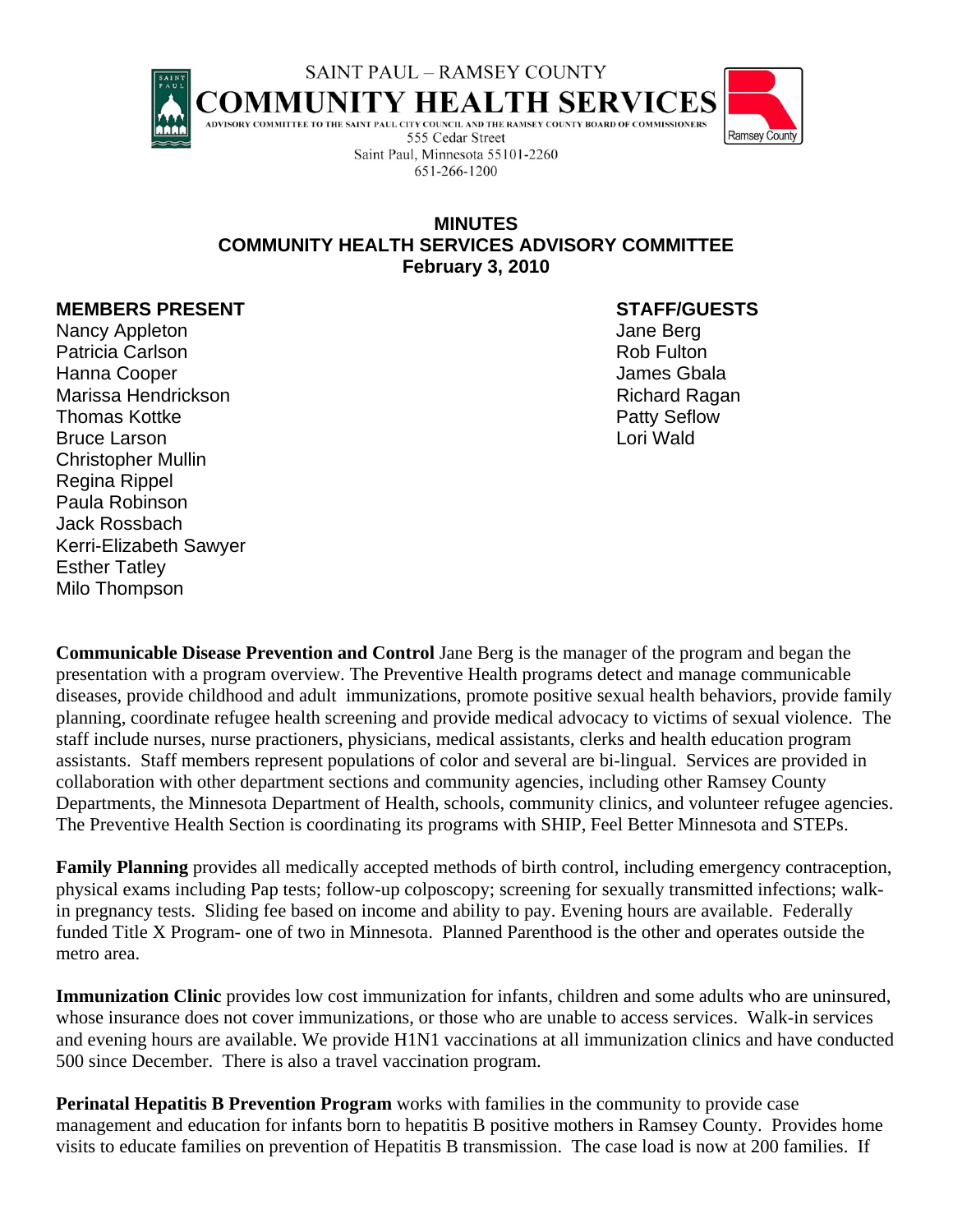

## **MINUTES COMMUNITY HEALTH SERVICES ADVISORY COMMITTEE February 3, 2010**

## **MEMBERS PRESENT STAFF/GUESTS**

Nancy Appleton **Jane Berg** Patricia Carlson **Patricia Carlson Rob Fulton** Rob Fulton Hanna Cooper James Gbala Marissa Hendrickson **Richard Ragan** Richard Ragan Thomas Kottke **Patty Seflow** Bruce Larson **Lori Wald** Christopher Mullin Regina Rippel Paula Robinson Jack Rossbach Kerri-Elizabeth Sawyer Esther Tatley Milo Thompson

**Communicable Disease Prevention and Control** Jane Berg is the manager of the program and began the presentation with a program overview. The Preventive Health programs detect and manage communicable diseases, provide childhood and adult immunizations, promote positive sexual health behaviors, provide family planning, coordinate refugee health screening and provide medical advocacy to victims of sexual violence. The staff include nurses, nurse practioners, physicians, medical assistants, clerks and health education program assistants. Staff members represent populations of color and several are bi-lingual. Services are provided in collaboration with other department sections and community agencies, including other Ramsey County Departments, the Minnesota Department of Health, schools, community clinics, and volunteer refugee agencies. The Preventive Health Section is coordinating its programs with SHIP, Feel Better Minnesota and STEPs.

**Family Planning** provides all medically accepted methods of birth control, including emergency contraception, physical exams including Pap tests; follow-up colposcopy; screening for sexually transmitted infections; walkin pregnancy tests. Sliding fee based on income and ability to pay. Evening hours are available. Federally funded Title X Program- one of two in Minnesota. Planned Parenthood is the other and operates outside the metro area.

**Immunization Clinic** provides low cost immunization for infants, children and some adults who are uninsured, whose insurance does not cover immunizations, or those who are unable to access services. Walk-in services and evening hours are available. We provide H1N1 vaccinations at all immunization clinics and have conducted 500 since December. There is also a travel vaccination program.

**Perinatal Hepatitis B Prevention Program** works with families in the community to provide case management and education for infants born to hepatitis B positive mothers in Ramsey County. Provides home visits to educate families on prevention of Hepatitis B transmission. The case load is now at 200 families. If